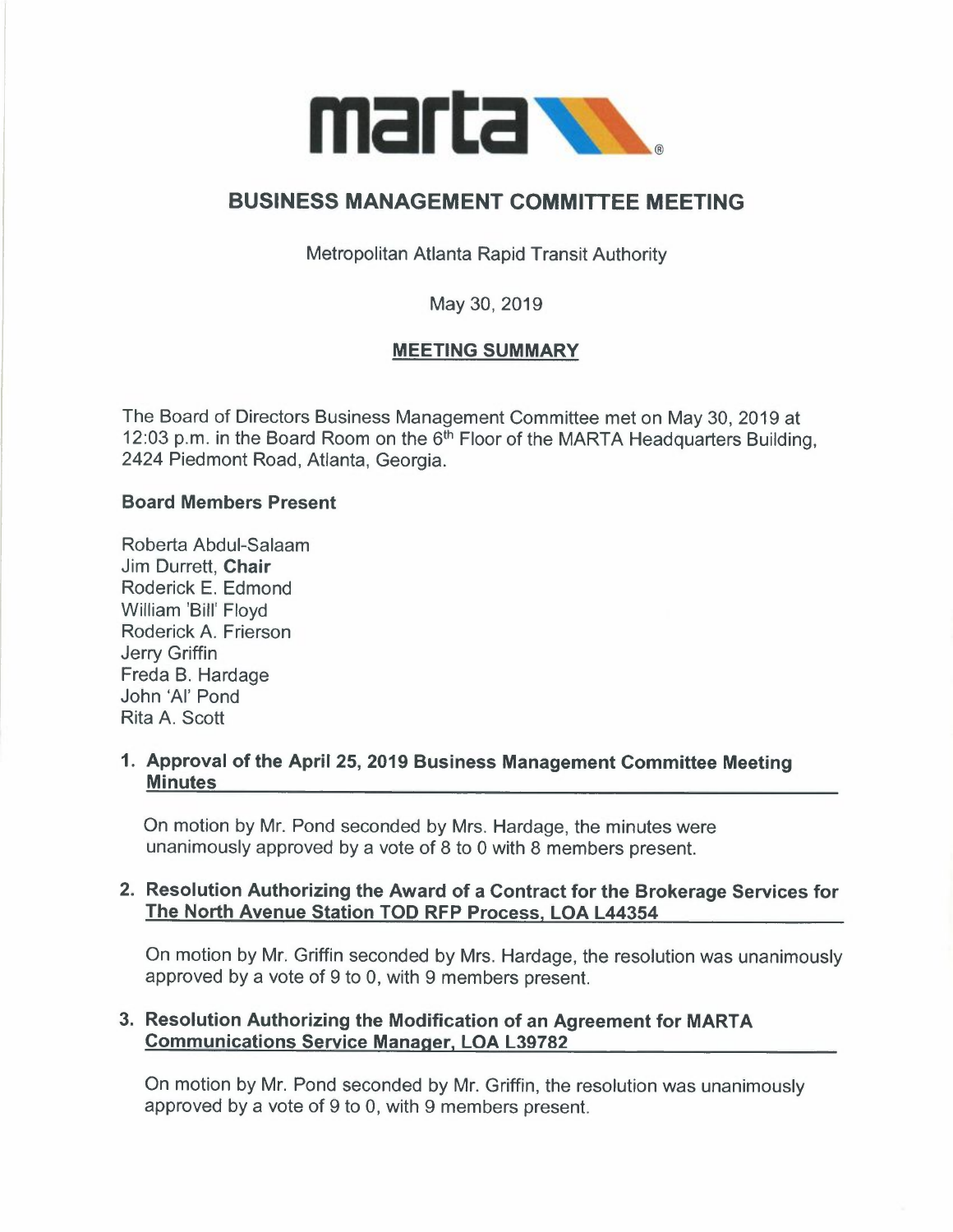

# **BUSINESS MANAGEMENT COMMITTEE MEETING**

Metropolitan Atlanta Rapid Transit Authority

May 30, 2019

## **MEETING SUMMARY**

The Board of Directors Business Management Committee met on May 30, 2019 at 12:03 p.m. in the Board Room on the 6<sup>th</sup> Floor of the MARTA Headquarters Building, 2424 Piedmont Road, Atlanta, Georgia.

## **Board Members Present**

Roberta Abdul-Salaam Jim Durrett, **Chair**  Roderick E. Edmond William 'Bill' Floyd Roderick A. Frierson Jerry Griffin Freda B. Hardage John 'Al' Pond Rita A. Scott

## **1. Approval of the April 25, 2019 Business Management Committee Meeting Minutes**

On motion by Mr. Pond seconded by Mrs. Hardage, the minutes were unanimously approved by a vote of 8 to O with 8 members present.

## **2. Resolution Authorizing the Award of a Contract for the Brokerage Services for The North Avenue Station TOD RFP Process, LOA L44354**

On motion by Mr. Griffin seconded by Mrs. Hardage, the resolution was unanimously approved by a vote of 9 to 0, with 9 members present.

## **3. Resolution Authorizing the Modification of an Agreement for MARTA Communications Service Manager, LOA L39782**

On motion by Mr. Pond seconded by Mr. Griffin, the resolution was unanimously approved by a vote of 9 to 0, with 9 members present.